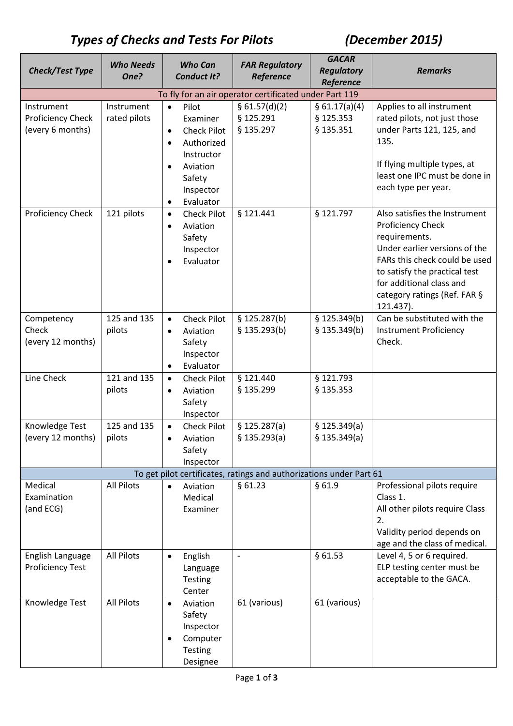# *Types of Checks and Tests For Pilots (December 2015)*

| <b>Check/Test Type</b>               | <b>Who Needs</b>  | <b>Who Can</b>                               | <b>FAR Regulatory</b>                                               | <b>GACAR</b><br><b>Regulatory</b> | <b>Remarks</b>                                                 |
|--------------------------------------|-------------------|----------------------------------------------|---------------------------------------------------------------------|-----------------------------------|----------------------------------------------------------------|
|                                      | One?              | <b>Conduct It?</b>                           | Reference                                                           | Reference                         |                                                                |
|                                      |                   |                                              | To fly for an air operator certificated under Part 119              |                                   |                                                                |
| Instrument                           | Instrument        | Pilot<br>$\bullet$                           | \$61.57(d)(2)                                                       | § 61.17(a)(4)                     | Applies to all instrument                                      |
| <b>Proficiency Check</b>             | rated pilots      | Examiner                                     | § 125.291                                                           | § 125.353                         | rated pilots, not just those                                   |
| (every 6 months)                     |                   | <b>Check Pilot</b><br>$\bullet$              | § 135.297                                                           | § 135.351                         | under Parts 121, 125, and                                      |
|                                      |                   | Authorized<br>$\bullet$                      |                                                                     |                                   | 135.                                                           |
|                                      |                   | Instructor                                   |                                                                     |                                   |                                                                |
|                                      |                   | Aviation<br>$\bullet$                        |                                                                     |                                   | If flying multiple types, at                                   |
|                                      |                   | Safety                                       |                                                                     |                                   | least one IPC must be done in                                  |
|                                      |                   | Inspector                                    |                                                                     |                                   | each type per year.                                            |
|                                      |                   | Evaluator<br>$\bullet$                       |                                                                     |                                   |                                                                |
| <b>Proficiency Check</b>             | 121 pilots        | <b>Check Pilot</b><br>$\bullet$              | § 121.441                                                           | § 121.797                         | Also satisfies the Instrument                                  |
|                                      |                   | Aviation<br>$\bullet$                        |                                                                     |                                   | <b>Proficiency Check</b>                                       |
|                                      |                   | Safety                                       |                                                                     |                                   | requirements.                                                  |
|                                      |                   | Inspector                                    |                                                                     |                                   | Under earlier versions of the<br>FARs this check could be used |
|                                      |                   | Evaluator<br>$\bullet$                       |                                                                     |                                   | to satisfy the practical test                                  |
|                                      |                   |                                              |                                                                     |                                   | for additional class and                                       |
|                                      |                   |                                              |                                                                     |                                   | category ratings (Ref. FAR §                                   |
|                                      |                   |                                              |                                                                     |                                   | 121.437).                                                      |
| Competency                           | 125 and 135       | <b>Check Pilot</b><br>$\bullet$              | \$125.287(b)                                                        | \$125.349(b)                      | Can be substituted with the                                    |
| Check                                | pilots            | Aviation<br>$\bullet$                        | \$135.293(b)                                                        | \$135.349(b)                      | <b>Instrument Proficiency</b>                                  |
| (every 12 months)                    |                   | Safety                                       |                                                                     |                                   | Check.                                                         |
|                                      |                   | Inspector                                    |                                                                     |                                   |                                                                |
|                                      |                   | Evaluator<br>$\bullet$                       |                                                                     |                                   |                                                                |
| Line Check                           | 121 and 135       | <b>Check Pilot</b><br>$\bullet$              | § 121.440                                                           | § 121.793                         |                                                                |
|                                      | pilots            | Aviation<br>$\bullet$                        | § 135.299                                                           | § 135.353                         |                                                                |
|                                      |                   | Safety                                       |                                                                     |                                   |                                                                |
| Knowledge Test                       | 125 and 135       | Inspector<br><b>Check Pilot</b><br>$\bullet$ | \$125.287(a)                                                        | \$125.349(a)                      |                                                                |
| (every 12 months)                    | pilots            | Aviation                                     | \$135.293(a)                                                        | \$135.349(a)                      |                                                                |
|                                      |                   | Safety                                       |                                                                     |                                   |                                                                |
|                                      |                   | Inspector                                    |                                                                     |                                   |                                                                |
|                                      |                   |                                              | To get pilot certificates, ratings and authorizations under Part 61 |                                   |                                                                |
| Medical                              | <b>All Pilots</b> | Aviation<br>$\bullet$                        | §61.23                                                              | §61.9                             | Professional pilots require                                    |
| Examination                          |                   | Medical                                      |                                                                     |                                   | Class 1.                                                       |
| (and ECG)                            |                   | Examiner                                     |                                                                     |                                   | All other pilots require Class                                 |
|                                      |                   |                                              |                                                                     |                                   | 2.                                                             |
|                                      |                   |                                              |                                                                     |                                   | Validity period depends on                                     |
|                                      |                   |                                              |                                                                     |                                   | age and the class of medical.                                  |
| English Language<br>Proficiency Test | <b>All Pilots</b> | English<br>$\bullet$                         |                                                                     | §61.53                            | Level 4, 5 or 6 required.<br>ELP testing center must be        |
|                                      |                   | Language<br><b>Testing</b>                   |                                                                     |                                   | acceptable to the GACA.                                        |
|                                      |                   | Center                                       |                                                                     |                                   |                                                                |
| Knowledge Test                       | <b>All Pilots</b> | Aviation<br>$\bullet$                        | 61 (various)                                                        | 61 (various)                      |                                                                |
|                                      |                   | Safety                                       |                                                                     |                                   |                                                                |
|                                      |                   | Inspector                                    |                                                                     |                                   |                                                                |
|                                      |                   | Computer<br>$\bullet$                        |                                                                     |                                   |                                                                |
|                                      |                   | <b>Testing</b>                               |                                                                     |                                   |                                                                |
|                                      |                   | Designee                                     |                                                                     |                                   |                                                                |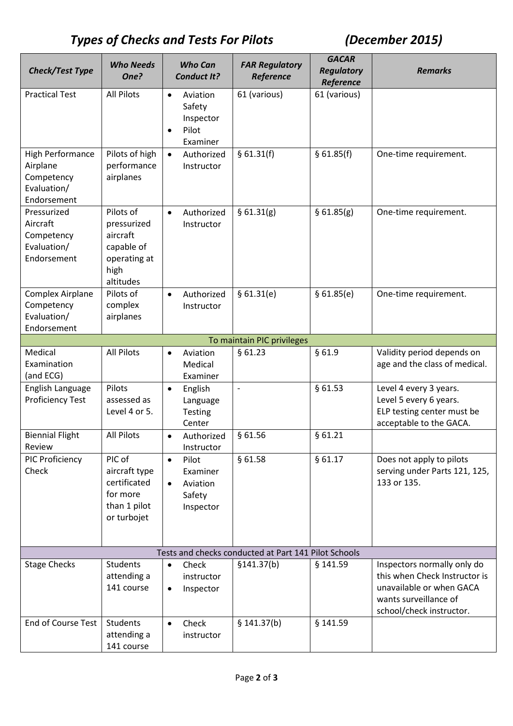# *Types of Checks and Tests For Pilots (December 2015)*

| <b>Check/Test Type</b>                                                          | <b>Who Needs</b><br>One?                                                                | <b>Who Can</b><br><b>Conduct It?</b>                                           | <b>FAR Regulatory</b><br>Reference                   | <b>GACAR</b><br><b>Regulatory</b><br>Reference | <b>Remarks</b>                                                                                                                                |
|---------------------------------------------------------------------------------|-----------------------------------------------------------------------------------------|--------------------------------------------------------------------------------|------------------------------------------------------|------------------------------------------------|-----------------------------------------------------------------------------------------------------------------------------------------------|
| <b>Practical Test</b>                                                           | <b>All Pilots</b>                                                                       | Aviation<br>$\bullet$<br>Safety<br>Inspector<br>Pilot<br>$\bullet$<br>Examiner | 61 (various)                                         | 61 (various)                                   |                                                                                                                                               |
| <b>High Performance</b><br>Airplane<br>Competency<br>Evaluation/<br>Endorsement | Pilots of high<br>performance<br>airplanes                                              | Authorized<br>$\bullet$<br>Instructor                                          | § 61.31(f)                                           | § 61.85(f)                                     | One-time requirement.                                                                                                                         |
| Pressurized<br>Aircraft<br>Competency<br>Evaluation/<br>Endorsement             | Pilots of<br>pressurized<br>aircraft<br>capable of<br>operating at<br>high<br>altitudes | Authorized<br>$\bullet$<br>Instructor                                          | § 61.31(g)                                           | \$61.85(g)                                     | One-time requirement.                                                                                                                         |
| <b>Complex Airplane</b><br>Competency<br>Evaluation/<br>Endorsement             | Pilots of<br>complex<br>airplanes                                                       | Authorized<br>$\bullet$<br>Instructor                                          | § 61.31(e)                                           | \$61.85(e)                                     | One-time requirement.                                                                                                                         |
|                                                                                 |                                                                                         |                                                                                | To maintain PIC privileges                           |                                                |                                                                                                                                               |
| Medical<br>Examination<br>(and ECG)                                             | <b>All Pilots</b>                                                                       | Aviation<br>$\bullet$<br>Medical<br>Examiner                                   | §61.23                                               | §61.9                                          | Validity period depends on<br>age and the class of medical.                                                                                   |
| English Language<br><b>Proficiency Test</b>                                     | Pilots<br>assessed as<br>Level 4 or 5.                                                  | English<br>$\bullet$<br>Language<br><b>Testing</b><br>Center                   | $\overline{a}$                                       | §61.53                                         | Level 4 every 3 years.<br>Level 5 every 6 years.<br>ELP testing center must be<br>acceptable to the GACA.                                     |
| <b>Biennial Flight</b><br>Review                                                | All Pilots                                                                              | Authorized<br>$\bullet$<br>Instructor                                          | §61.56                                               | §61.21                                         |                                                                                                                                               |
| PIC Proficiency<br>Check                                                        | PIC of<br>aircraft type<br>certificated<br>for more<br>than 1 pilot<br>or turbojet      | Pilot<br>$\bullet$<br>Examiner<br>Aviation<br>$\bullet$<br>Safety<br>Inspector | §61.58                                               | §61.17                                         | Does not apply to pilots<br>serving under Parts 121, 125,<br>133 or 135.                                                                      |
|                                                                                 |                                                                                         |                                                                                | Tests and checks conducted at Part 141 Pilot Schools |                                                |                                                                                                                                               |
| <b>Stage Checks</b>                                                             | <b>Students</b><br>attending a<br>141 course                                            | Check<br>$\bullet$<br>instructor<br>Inspector<br>$\bullet$                     | \$141.37(b)                                          | § 141.59                                       | Inspectors normally only do<br>this when Check Instructor is<br>unavailable or when GACA<br>wants surveillance of<br>school/check instructor. |
| End of Course Test                                                              | <b>Students</b><br>attending a<br>141 course                                            | Check<br>$\bullet$<br>instructor                                               | \$141.37(b)                                          | § 141.59                                       |                                                                                                                                               |